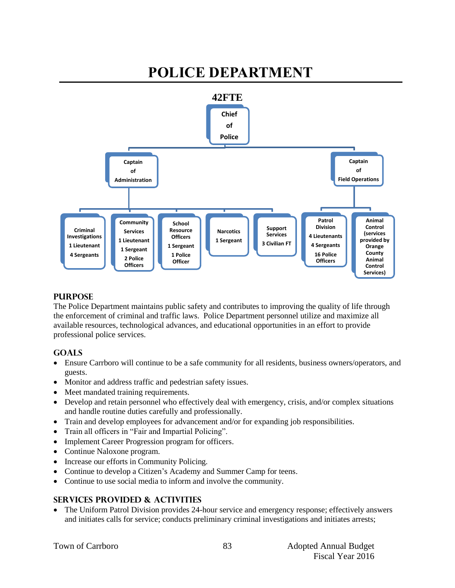#### **POLICE DEPARTMENT 42FTE Chief of Police Captain of Administration Criminal Investigations 1 Lieutenant 4 Sergeants Community Services 1 Lieutenant 1 Sergeant 2 Police Officers School Resource Officers 1 Sergeant 1 Police Officer Narcotics 1 Sergeant Support Services 3 Civilian FT Captain of Field Operations Patrol Division 4 Lieutenants 4 Sergeants 16 Police Officers Animal Control (services provided by Orange County Animal Control Services)**

### **PURPOSE**

The Police Department maintains public safety and contributes to improving the quality of life through the enforcement of criminal and traffic laws. Police Department personnel utilize and maximize all available resources, technological advances, and educational opportunities in an effort to provide professional police services.

### **GOALS**

- Ensure Carrboro will continue to be a safe community for all residents, business owners/operators, and guests.
- Monitor and address traffic and pedestrian safety issues.
- Meet mandated training requirements.
- Develop and retain personnel who effectively deal with emergency, crisis, and/or complex situations and handle routine duties carefully and professionally.
- Train and develop employees for advancement and/or for expanding job responsibilities.
- Train all officers in "Fair and Impartial Policing".
- Implement Career Progression program for officers.
- Continue Naloxone program.
- Increase our efforts in Community Policing.
- Continue to develop a Citizen's Academy and Summer Camp for teens.
- Continue to use social media to inform and involve the community.

#### **SERVICES PROVIDED & ACTIVITIES**

 The Uniform Patrol Division provides 24-hour service and emergency response; effectively answers and initiates calls for service; conducts preliminary criminal investigations and initiates arrests;

|  |  | <b>Town of Carrboro</b> |
|--|--|-------------------------|
|--|--|-------------------------|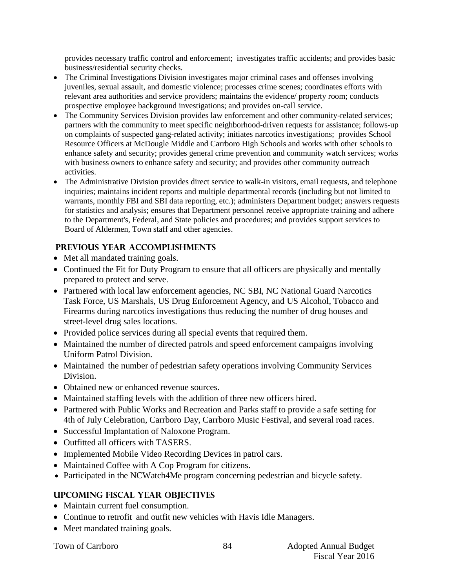provides necessary traffic control and enforcement; investigates traffic accidents; and provides basic business/residential security checks.

- The Criminal Investigations Division investigates major criminal cases and offenses involving juveniles, sexual assault, and domestic violence; processes crime scenes; coordinates efforts with relevant area authorities and service providers; maintains the evidence/ property room; conducts prospective employee background investigations; and provides on-call service.
- The Community Services Division provides law enforcement and other community-related services; partners with the community to meet specific neighborhood-driven requests for assistance; follows-up on complaints of suspected gang-related activity; initiates narcotics investigations; provides School Resource Officers at McDougle Middle and Carrboro High Schools and works with other schools to enhance safety and security; provides general crime prevention and community watch services; works with business owners to enhance safety and security; and provides other community outreach activities.
- The Administrative Division provides direct service to walk-in visitors, email requests, and telephone inquiries; maintains incident reports and multiple departmental records (including but not limited to warrants, monthly FBI and SBI data reporting, etc.); administers Department budget; answers requests for statistics and analysis; ensures that Department personnel receive appropriate training and adhere to the Department's, Federal, and State policies and procedures; and provides support services to Board of Aldermen, Town staff and other agencies.

# **PREVIOUS YEAR ACCOMPLISHMENTS**

- Met all mandated training goals.
- Continued the Fit for Duty Program to ensure that all officers are physically and mentally prepared to protect and serve.
- Partnered with local law enforcement agencies, NC SBI, NC National Guard Narcotics Task Force, US Marshals, US Drug Enforcement Agency, and US Alcohol, Tobacco and Firearms during narcotics investigations thus reducing the number of drug houses and street-level drug sales locations.
- Provided police services during all special events that required them.
- Maintained the number of directed patrols and speed enforcement campaigns involving Uniform Patrol Division.
- Maintained the number of pedestrian safety operations involving Community Services Division.
- Obtained new or enhanced revenue sources.
- Maintained staffing levels with the addition of three new officers hired.
- Partnered with Public Works and Recreation and Parks staff to provide a safe setting for 4th of July Celebration, Carrboro Day, Carrboro Music Festival, and several road races.
- Successful Implantation of Naloxone Program.
- Outfitted all officers with TASERS.
- Implemented Mobile Video Recording Devices in patrol cars.
- Maintained Coffee with A Cop Program for citizens.
- Participated in the NCWatch4Me program concerning pedestrian and bicycle safety.

# **UPCOMING FISCAL YEAR OBJECTIVES**

- Maintain current fuel consumption.
- Continue to retrofit and outfit new vehicles with Havis Idle Managers.
- Meet mandated training goals.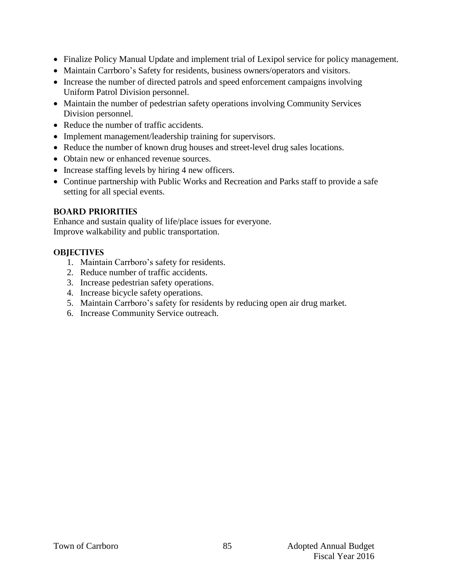- Finalize Policy Manual Update and implement trial of Lexipol service for policy management.
- Maintain Carrboro's Safety for residents, business owners/operators and visitors.
- Increase the number of directed patrols and speed enforcement campaigns involving Uniform Patrol Division personnel.
- Maintain the number of pedestrian safety operations involving Community Services Division personnel.
- Reduce the number of traffic accidents.
- Implement management/leadership training for supervisors.
- Reduce the number of known drug houses and street-level drug sales locations.
- Obtain new or enhanced revenue sources.
- Increase staffing levels by hiring 4 new officers.
- Continue partnership with Public Works and Recreation and Parks staff to provide a safe setting for all special events.

### **BOARD PRIORITIES**

Enhance and sustain quality of life/place issues for everyone. Improve walkability and public transportation.

### **OBJECTIVES**

- 1. Maintain Carrboro's safety for residents.
- 2. Reduce number of traffic accidents.
- 3. Increase pedestrian safety operations.
- 4. Increase bicycle safety operations.
- 5. Maintain Carrboro's safety for residents by reducing open air drug market.
- 6. Increase Community Service outreach.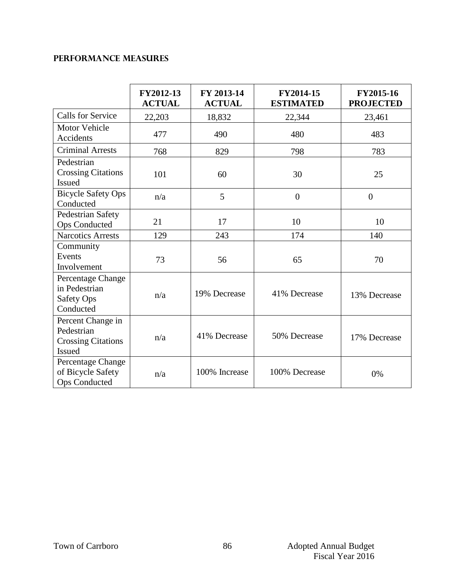# **Performance Measures**

|                                                                        | FY2012-13<br><b>ACTUAL</b> | FY 2013-14<br><b>ACTUAL</b> | FY2014-15<br><b>ESTIMATED</b> | FY2015-16<br><b>PROJECTED</b> |
|------------------------------------------------------------------------|----------------------------|-----------------------------|-------------------------------|-------------------------------|
| <b>Calls for Service</b>                                               | 22,203                     | 18,832                      | 22,344                        | 23,461                        |
| <b>Motor Vehicle</b><br>Accidents                                      | 477                        | 490                         | 480                           | 483                           |
| <b>Criminal Arrests</b>                                                | 768                        | 829                         | 798                           | 783                           |
| Pedestrian<br><b>Crossing Citations</b><br><b>Issued</b>               | 101                        | 60                          | 30                            | 25                            |
| <b>Bicycle Safety Ops</b><br>Conducted                                 | n/a                        | 5                           | $\overline{0}$                | $\overline{0}$                |
| Pedestrian Safety<br><b>Ops Conducted</b>                              | 21                         | 17                          | 10                            | 10                            |
| <b>Narcotics Arrests</b>                                               | 129                        | 243                         | 174                           | 140                           |
| Community<br>Events<br>Involvement                                     | 73                         | 56                          | 65                            | 70                            |
| Percentage Change<br>in Pedestrian<br>Safety Ops<br>Conducted          | n/a                        | 19% Decrease                | 41% Decrease                  | 13% Decrease                  |
| Percent Change in<br>Pedestrian<br><b>Crossing Citations</b><br>Issued | n/a                        | 41% Decrease                | 50% Decrease                  | 17% Decrease                  |
| Percentage Change<br>of Bicycle Safety<br><b>Ops Conducted</b>         | n/a                        | 100% Increase               | 100% Decrease                 | 0%                            |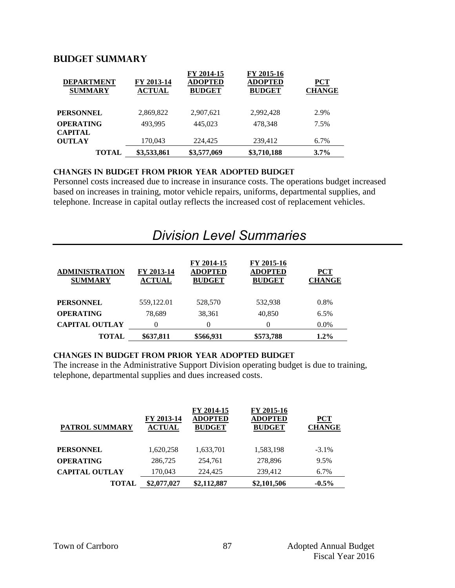#### **Budget summary**

| <b>DEPARTMENT</b><br><b>SUMMARY</b> | FY 2013-14<br><b>ACTUAL</b> | FY 2014-15<br><b>ADOPTED</b><br><b>BUDGET</b> | FY 2015-16<br><b>ADOPTED</b><br><b>BUDGET</b> | ${PCT}$<br><b>CHANGE</b> |
|-------------------------------------|-----------------------------|-----------------------------------------------|-----------------------------------------------|--------------------------|
| <b>PERSONNEL</b>                    | 2,869,822                   | 2,907,621                                     | 2,992,428                                     | 2.9%                     |
| <b>OPERATING</b><br><b>CAPITAL</b>  | 493,995                     | 445,023                                       | 478,348                                       | 7.5%                     |
| <b>OUTLAY</b>                       | 170,043                     | 224,425                                       | 239,412                                       | 6.7%                     |
| <b>TOTAL</b>                        | \$3,533,861                 | \$3,577,069                                   | \$3,710,188                                   | $3.7\%$                  |

#### **CHANGES IN BUDGET from PRIOR YEAR ADOPTED BUDGET**

Personnel costs increased due to increase in insurance costs. The operations budget increased based on increases in training, motor vehicle repairs, uniforms, departmental supplies, and telephone. Increase in capital outlay reflects the increased cost of replacement vehicles.

| <b>ADMINISTRATION</b><br><b>SUMMARY</b> | FY 2013-14<br><b>ACTUAL</b> | FY 2014-15<br><b>ADOPTED</b><br><b>BUDGET</b> | FY 2015-16<br><b>ADOPTED</b><br><b>BUDGET</b> | <b>PCT</b><br><b>CHANGE</b> |
|-----------------------------------------|-----------------------------|-----------------------------------------------|-----------------------------------------------|-----------------------------|
| <b>PERSONNEL</b>                        | 559,122.01                  | 528,570                                       | 532,938                                       | 0.8%                        |
| <b>OPERATING</b>                        | 78,689                      | 38,361                                        | 40,850                                        | 6.5%                        |
| <b>CAPITAL OUTLAY</b>                   | 0                           | $\Omega$                                      |                                               | $0.0\%$                     |
| TOTAL                                   | \$637,811                   | \$566,931                                     | \$573,788                                     | $1.2\%$                     |

# *Division Level Summaries*

#### **changes in budget from prior year adopted budget**

The increase in the Administrative Support Division operating budget is due to training, telephone, departmental supplies and dues increased costs.

| <b>PATROL SUMMARY</b> | FY 2013-14<br><b>ACTUAL</b> | FY 2014-15<br><b>ADOPTED</b><br><b>BUDGET</b> | FY 2015-16<br><b>ADOPTED</b><br><b>BUDGET</b> | <b>PCT</b><br><b>CHANGE</b> |
|-----------------------|-----------------------------|-----------------------------------------------|-----------------------------------------------|-----------------------------|
| <b>PERSONNEL</b>      | 1,620,258                   | 1,633,701                                     | 1,583,198                                     | $-3.1\%$                    |
| <b>OPERATING</b>      | 286,725                     | 254,761                                       | 278,896                                       | 9.5%                        |
| <b>CAPITAL OUTLAY</b> | 170,043                     | 224,425                                       | 239,412                                       | 6.7%                        |
| <b>TOTAL</b>          | \$2,077,027                 | \$2,112,887                                   | \$2,101,506                                   | $-0.5\%$                    |